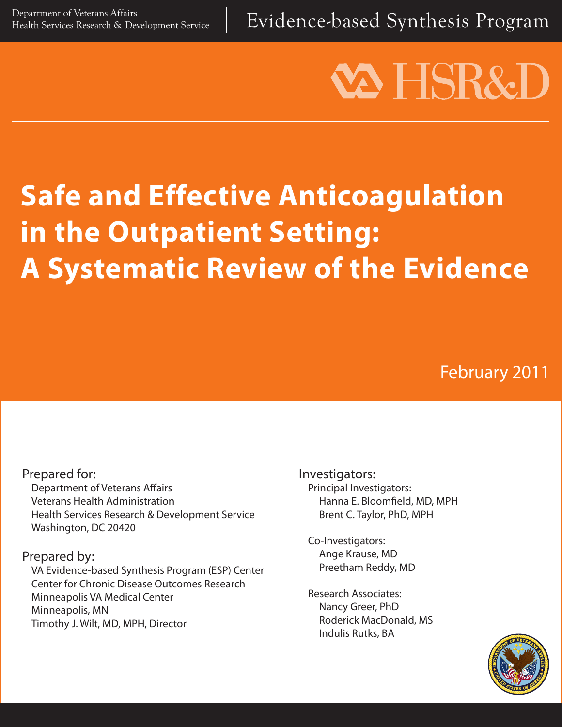Evidence-based Synthesis Program

# **VA HSR&I**

# **Safe and Effective Anticoagulation in the Outpatient Setting: A Systematic Review of the Evidence**

# February 2011

#### Prepared for:

Department of Veterans Affairs Veterans Health Administration Health Services Research & Development Service Washington, DC 20420

#### Prepared by:

VA Evidence-based Synthesis Program (ESP) Center Center for Chronic Disease Outcomes Research Minneapolis VA Medical Center Minneapolis, MN Timothy J. Wilt, MD, MPH, Director

Investigators: Principal Investigators: Hanna E. Bloomfield, MD, MPH Brent C. Taylor, PhD, MPH

Co-Investigators: Ange Krause, MD Preetham Reddy, MD

Research Associates: Nancy Greer, PhD Roderick MacDonald, MS Indulis Rutks, BA

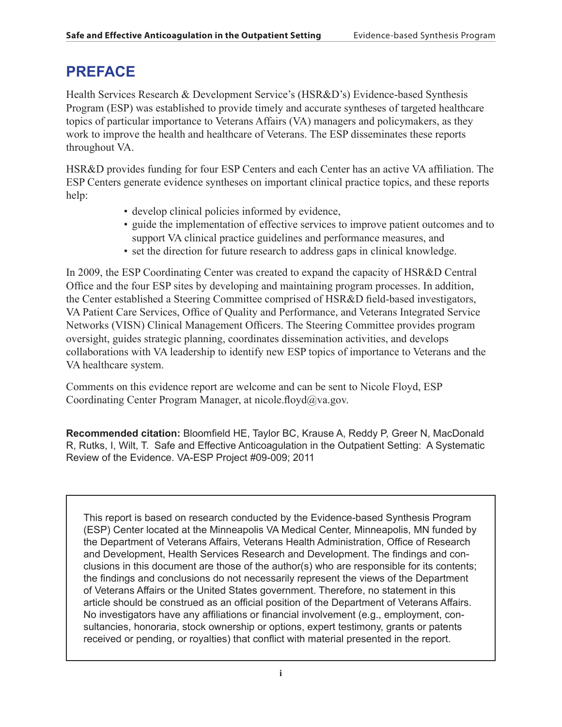## **PREFACE**

Health Services Research & Development Service's (HSR&D's) Evidence-based Synthesis Program (ESP) was established to provide timely and accurate syntheses of targeted healthcare topics of particular importance to Veterans Affairs (VA) managers and policymakers, as they work to improve the health and healthcare of Veterans. The ESP disseminates these reports throughout VA.

HSR&D provides funding for four ESP Centers and each Center has an active VA affiliation. The ESP Centers generate evidence syntheses on important clinical practice topics, and these reports help:

- develop clinical policies informed by evidence,
- guide the implementation of effective services to improve patient outcomes and to support VA clinical practice guidelines and performance measures, and
- set the direction for future research to address gaps in clinical knowledge.

In 2009, the ESP Coordinating Center was created to expand the capacity of HSR&D Central Office and the four ESP sites by developing and maintaining program processes. In addition, the Center established a Steering Committee comprised of HSR&D field-based investigators, VA Patient Care Services, Office of Quality and Performance, and Veterans Integrated Service Networks (VISN) Clinical Management Officers. The Steering Committee provides program oversight, guides strategic planning, coordinates dissemination activities, and develops collaborations with VA leadership to identify new ESP topics of importance to Veterans and the VA healthcare system.

Comments on this evidence report are welcome and can be sent to Nicole Floyd, ESP Coordinating Center Program Manager, at nicole.floyd@va.gov.

**Recommended citation:** Bloomfield HE, Taylor BC, Krause A, Reddy P, Greer N, MacDonald R, Rutks, I, Wilt, T. Safe and Effective Anticoagulation in the Outpatient Setting: A Systematic Review of the Evidence. VA-ESP Project #09-009; 2011

This report is based on research conducted by the Evidence-based Synthesis Program (ESP) Center located at the Minneapolis VA Medical Center, Minneapolis, MN funded by the Department of Veterans Affairs, Veterans Health Administration, Office of Research and Development, Health Services Research and Development. The findings and conclusions in this document are those of the author(s) who are responsible for its contents; the findings and conclusions do not necessarily represent the views of the Department of Veterans Affairs or the United States government. Therefore, no statement in this article should be construed as an official position of the Department of Veterans Affairs. No investigators have any affiliations or financial involvement (e.g., employment, consultancies, honoraria, stock ownership or options, expert testimony, grants or patents received or pending, or royalties) that conflict with material presented in the report.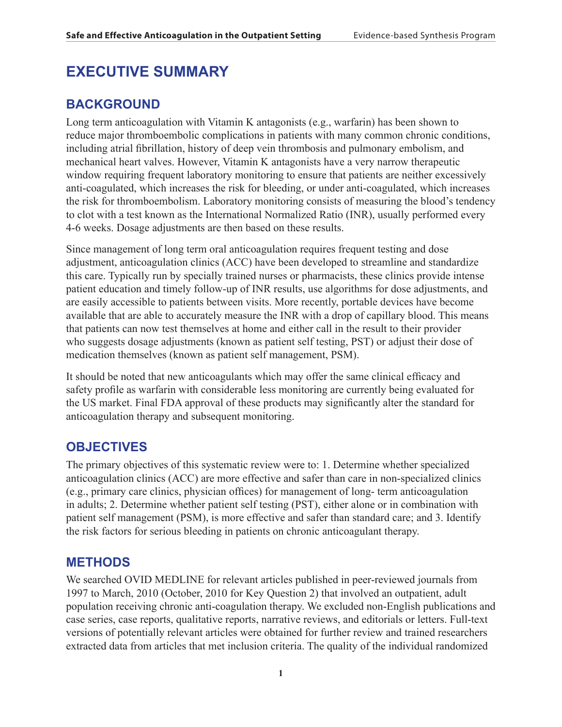### **EXECUTIVE SUMMARY**

#### **BACKGROUND**

Long term anticoagulation with Vitamin K antagonists (e.g., warfarin) has been shown to reduce major thromboembolic complications in patients with many common chronic conditions, including atrial fibrillation, history of deep vein thrombosis and pulmonary embolism, and mechanical heart valves. However, Vitamin K antagonists have a very narrow therapeutic window requiring frequent laboratory monitoring to ensure that patients are neither excessively anti-coagulated, which increases the risk for bleeding, or under anti-coagulated, which increases the risk for thromboembolism. Laboratory monitoring consists of measuring the blood's tendency to clot with a test known as the International Normalized Ratio (INR), usually performed every 4-6 weeks. Dosage adjustments are then based on these results.

Since management of long term oral anticoagulation requires frequent testing and dose adjustment, anticoagulation clinics (ACC) have been developed to streamline and standardize this care. Typically run by specially trained nurses or pharmacists, these clinics provide intense patient education and timely follow-up of INR results, use algorithms for dose adjustments, and are easily accessible to patients between visits. More recently, portable devices have become available that are able to accurately measure the INR with a drop of capillary blood. This means that patients can now test themselves at home and either call in the result to their provider who suggests dosage adjustments (known as patient self testing, PST) or adjust their dose of medication themselves (known as patient self management, PSM).

It should be noted that new anticoagulants which may offer the same clinical efficacy and safety profile as warfarin with considerable less monitoring are currently being evaluated for the US market. Final FDA approval of these products may significantly alter the standard for anticoagulation therapy and subsequent monitoring.

#### **OBJECTIVES**

The primary objectives of this systematic review were to: 1. Determine whether specialized anticoagulation clinics (ACC) are more effective and safer than care in non-specialized clinics (e.g., primary care clinics, physician offices) for management of long- term anticoagulation in adults; 2. Determine whether patient self testing (PST), either alone or in combination with patient self management (PSM), is more effective and safer than standard care; and 3. Identify the risk factors for serious bleeding in patients on chronic anticoagulant therapy.

#### **METHODS**

We searched OVID MEDLINE for relevant articles published in peer-reviewed journals from 1997 to March, 2010 (October, 2010 for Key Question 2) that involved an outpatient, adult population receiving chronic anti-coagulation therapy. We excluded non-English publications and case series, case reports, qualitative reports, narrative reviews, and editorials or letters. Full-text versions of potentially relevant articles were obtained for further review and trained researchers extracted data from articles that met inclusion criteria. The quality of the individual randomized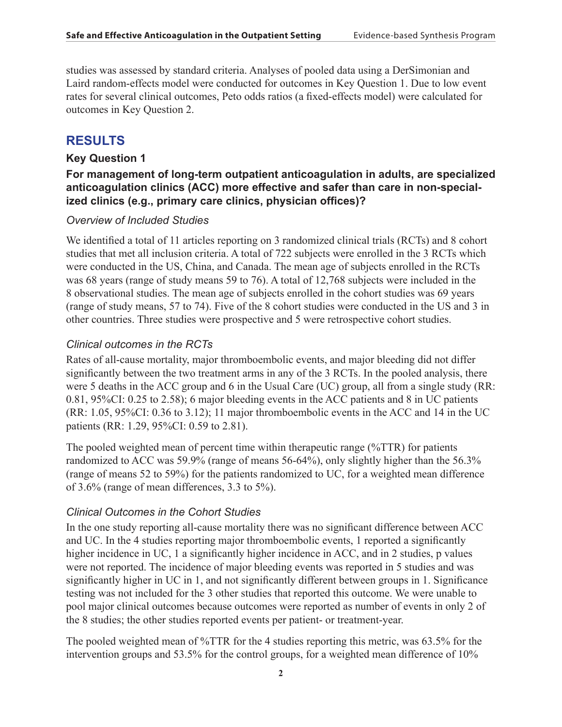studies was assessed by standard criteria. Analyses of pooled data using a DerSimonian and Laird random-effects model were conducted for outcomes in Key Question 1. Due to low event rates for several clinical outcomes, Peto odds ratios (a fixed-effects model) were calculated for outcomes in Key Question 2.

#### **RESULTS**

#### **Key Question 1**

#### **For management of long-term outpatient anticoagulation in adults, are specialized anticoagulation clinics (ACC) more effective and safer than care in non-specialized clinics (e.g., primary care clinics, physician offices)?**

#### *Overview of Included Studies*

We identified a total of 11 articles reporting on 3 randomized clinical trials (RCTs) and 8 cohort studies that met all inclusion criteria. A total of 722 subjects were enrolled in the 3 RCTs which were conducted in the US, China, and Canada. The mean age of subjects enrolled in the RCTs was 68 years (range of study means 59 to 76). A total of 12,768 subjects were included in the 8 observational studies. The mean age of subjects enrolled in the cohort studies was 69 years (range of study means, 57 to 74). Five of the 8 cohort studies were conducted in the US and 3 in other countries. Three studies were prospective and 5 were retrospective cohort studies.

#### *Clinical outcomes in the RCTs*

Rates of all-cause mortality, major thromboembolic events, and major bleeding did not differ significantly between the two treatment arms in any of the 3 RCTs. In the pooled analysis, there were 5 deaths in the ACC group and 6 in the Usual Care (UC) group, all from a single study (RR: 0.81, 95%CI: 0.25 to 2.58); 6 major bleeding events in the ACC patients and 8 in UC patients (RR: 1.05, 95%CI: 0.36 to 3.12); 11 major thromboembolic events in the ACC and 14 in the UC patients (RR: 1.29, 95%CI: 0.59 to 2.81).

The pooled weighted mean of percent time within therapeutic range (%TTR) for patients randomized to ACC was 59.9% (range of means 56-64%), only slightly higher than the 56.3% (range of means 52 to 59%) for the patients randomized to UC, for a weighted mean difference of 3.6% (range of mean differences, 3.3 to 5%).

#### *Clinical Outcomes in the Cohort Studies*

In the one study reporting all-cause mortality there was no significant difference between ACC and UC. In the 4 studies reporting major thromboembolic events, 1 reported a significantly higher incidence in UC, 1 a significantly higher incidence in ACC, and in 2 studies, p values were not reported. The incidence of major bleeding events was reported in 5 studies and was significantly higher in UC in 1, and not significantly different between groups in 1. Significance testing was not included for the 3 other studies that reported this outcome. We were unable to pool major clinical outcomes because outcomes were reported as number of events in only 2 of the 8 studies; the other studies reported events per patient- or treatment-year.

The pooled weighted mean of %TTR for the 4 studies reporting this metric, was 63.5% for the intervention groups and 53.5% for the control groups, for a weighted mean difference of 10%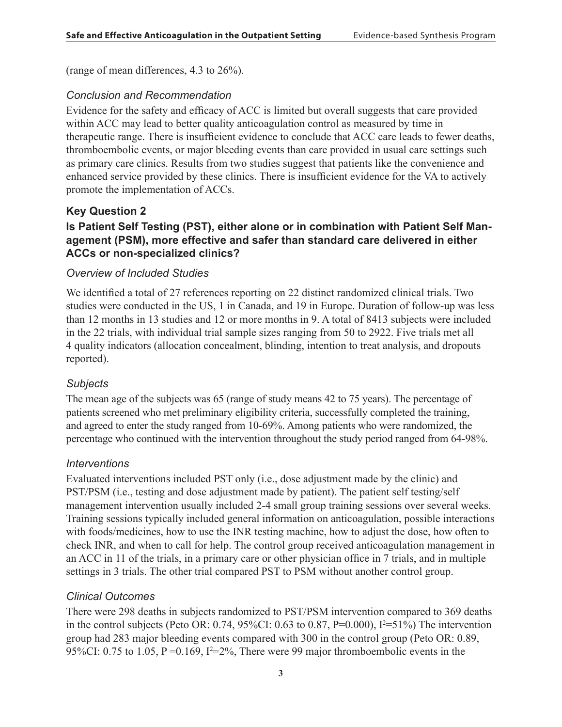(range of mean differences, 4.3 to 26%).

#### *Conclusion and Recommendation*

Evidence for the safety and efficacy of ACC is limited but overall suggests that care provided within ACC may lead to better quality anticoagulation control as measured by time in therapeutic range. There is insufficient evidence to conclude that ACC care leads to fewer deaths, thromboembolic events, or major bleeding events than care provided in usual care settings such as primary care clinics. Results from two studies suggest that patients like the convenience and enhanced service provided by these clinics. There is insufficient evidence for the VA to actively promote the implementation of ACCs.

#### **Key Question 2**

#### **Is Patient Self Testing (PST), either alone or in combination with Patient Self Management (PSM), more effective and safer than standard care delivered in either ACCs or non-specialized clinics?**

#### *Overview of Included Studies*

We identified a total of 27 references reporting on 22 distinct randomized clinical trials. Two studies were conducted in the US, 1 in Canada, and 19 in Europe. Duration of follow-up was less than 12 months in 13 studies and 12 or more months in 9. A total of 8413 subjects were included in the 22 trials, with individual trial sample sizes ranging from 50 to 2922. Five trials met all 4 quality indicators (allocation concealment, blinding, intention to treat analysis, and dropouts reported).

#### *Subjects*

The mean age of the subjects was 65 (range of study means 42 to 75 years). The percentage of patients screened who met preliminary eligibility criteria, successfully completed the training, and agreed to enter the study ranged from 10-69%. Among patients who were randomized, the percentage who continued with the intervention throughout the study period ranged from 64-98%.

#### *Interventions*

Evaluated interventions included PST only (i.e., dose adjustment made by the clinic) and PST/PSM (i.e., testing and dose adjustment made by patient). The patient self testing/self management intervention usually included 2-4 small group training sessions over several weeks. Training sessions typically included general information on anticoagulation, possible interactions with foods/medicines, how to use the INR testing machine, how to adjust the dose, how often to check INR, and when to call for help. The control group received anticoagulation management in an ACC in 11 of the trials, in a primary care or other physician office in 7 trials, and in multiple settings in 3 trials. The other trial compared PST to PSM without another control group.

#### *Clinical Outcomes*

There were 298 deaths in subjects randomized to PST/PSM intervention compared to 369 deaths in the control subjects (Peto OR: 0.74, 95%CI: 0.63 to 0.87, P=0.000),  $I^2=51\%$ ) The intervention group had 283 major bleeding events compared with 300 in the control group (Peto OR: 0.89, 95%CI: 0.75 to 1.05,  $P = 0.169$ ,  $I^2 = 2\%$ , There were 99 major thromboembolic events in the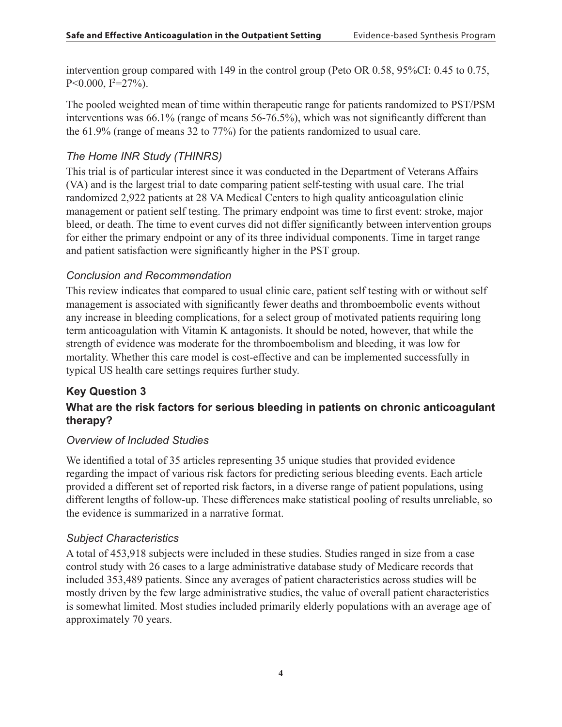intervention group compared with 149 in the control group (Peto OR 0.58, 95%CI: 0.45 to 0.75,  $P<0.000, I^2=27\%$ ).

The pooled weighted mean of time within therapeutic range for patients randomized to PST/PSM interventions was 66.1% (range of means 56-76.5%), which was not significantly different than the 61.9% (range of means 32 to 77%) for the patients randomized to usual care.

#### *The Home INR Study (THINRS)*

This trial is of particular interest since it was conducted in the Department of Veterans Affairs (VA) and is the largest trial to date comparing patient self-testing with usual care. The trial randomized 2,922 patients at 28 VA Medical Centers to high quality anticoagulation clinic management or patient self testing. The primary endpoint was time to first event: stroke, major bleed, or death. The time to event curves did not differ significantly between intervention groups for either the primary endpoint or any of its three individual components. Time in target range and patient satisfaction were significantly higher in the PST group.

#### *Conclusion and Recommendation*

This review indicates that compared to usual clinic care, patient self testing with or without self management is associated with significantly fewer deaths and thromboembolic events without any increase in bleeding complications, for a select group of motivated patients requiring long term anticoagulation with Vitamin K antagonists. It should be noted, however, that while the strength of evidence was moderate for the thromboembolism and bleeding, it was low for mortality. Whether this care model is cost-effective and can be implemented successfully in typical US health care settings requires further study.

#### **Key Question 3 What are the risk factors for serious bleeding in patients on chronic anticoagulant therapy?**

#### *Overview of Included Studies*

We identified a total of 35 articles representing 35 unique studies that provided evidence regarding the impact of various risk factors for predicting serious bleeding events. Each article provided a different set of reported risk factors, in a diverse range of patient populations, using different lengths of follow-up. These differences make statistical pooling of results unreliable, so the evidence is summarized in a narrative format.

#### *Subject Characteristics*

A total of 453,918 subjects were included in these studies. Studies ranged in size from a case control study with 26 cases to a large administrative database study of Medicare records that included 353,489 patients. Since any averages of patient characteristics across studies will be mostly driven by the few large administrative studies, the value of overall patient characteristics is somewhat limited. Most studies included primarily elderly populations with an average age of approximately 70 years.